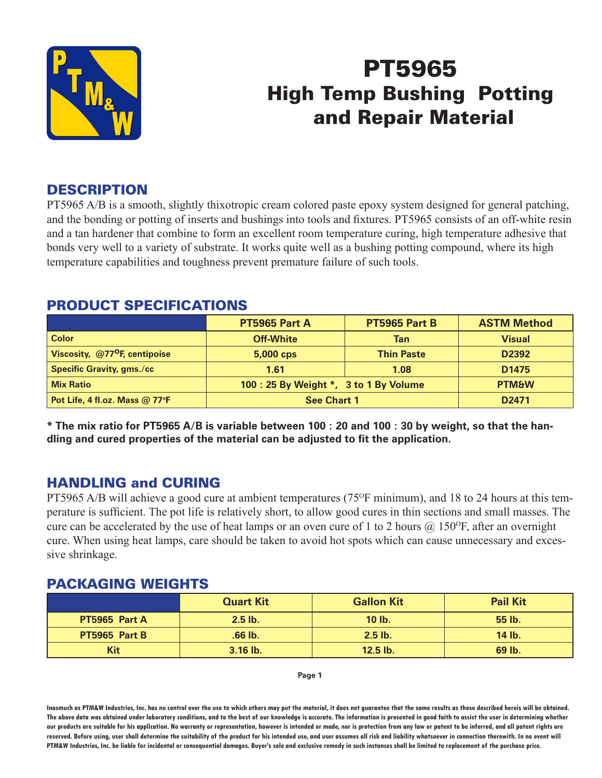

# PT5965 High Temp Bushing Potting and Repair Material

## **DESCRIPTION**

PT5965 A/B is a smooth, slightly thixotropic cream colored paste epoxy system designed for general patching, and the bonding or potting of inserts and bushings into tools and fixtures. PT5965 consists of an off-white resin and a tan hardener that combine to form an excellent room temperature curing, high temperature adhesive that bonds very well to a variety of substrate. It works quite well as a bushing potting compound, where its high temperature capabilities and toughness prevent premature failure of such tools.

## PRODUCT SPECIFICATIONS

|                                           | <b>PT5965 Part A</b>                   | PT5965 Part B     | <b>ASTM Method</b> |  |
|-------------------------------------------|----------------------------------------|-------------------|--------------------|--|
| <b>Color</b>                              | <b>Off-White</b>                       | Tan               | <b>Visual</b>      |  |
| Viscosity, @77 <sup>o</sup> F, centipoise | 5,000 cps                              | <b>Thin Paste</b> | D2392              |  |
| <b>Specific Gravity, gms./cc</b>          | 1.61                                   | 1.08              | D <sub>1475</sub>  |  |
| <b>Mix Ratio</b>                          | 100 : 25 By Weight *, 3 to 1 By Volume | <b>PTM&amp;W</b>  |                    |  |
| Pot Life, 4 fl.oz. Mass @ 77°F            | <b>See Chart 1</b>                     | D <sub>2471</sub> |                    |  |

**\* The mix ratio for PT5965 A/B is variable between 100 : 20 and 100 : 30 by weight, so that the handling and cured properties of the material can be adjusted to fit the application.**

## HANDLING and CURING

PT5965 A/B will achieve a good cure at ambient temperatures (75<sup>o</sup>F minimum), and 18 to 24 hours at this temperature is sufficient. The pot life is relatively short, to allow good cures in thin sections and small masses. The cure can be accelerated by the use of heat lamps or an oven cure of 1 to 2 hours  $\omega$  150°F, after an overnight cure. When using heat lamps, care should be taken to avoid hot spots which can cause unnecessary and excessive shrinkage.

#### PACKAGING WEIGHTS

|               | <b>Quart Kit</b> | <b>Gallon Kit</b> | <b>Pail Kit</b> |
|---------------|------------------|-------------------|-----------------|
| PT5965 Part A | $2.5$ lb.        | $10$ lb.          | 55 lb.          |
| PT5965 Part B | .66 lb.          |                   | $14$ lb.        |
| Kit           | $3.16$ lb.       | $12.5$ lb.        | 69 lb.          |

**Page 1**

**Inasmuch as PTM&W Industries, Inc. has no control over the use to which others may put the material, it does not guarantee that the same results as those described hereis will be obtained. The above data was obtained under laboratory conditions, and to the best of our knowledge is accurate. The information is presented in good faith to assist the user in determining whether our products are suitable for his application. No warranty or representation, however is intended or made, nor is protection from any law or patent to be inferred, and all patent rights are**  reserved. Before using, user shall determine the suitability of the product for his intended use, and user assumes all risk and liability whatsoever in connection therewith. In no event will **PTM&W Industries, Inc. be liable for incidental or consequential damages. Buyer's sole and exclusive remedy in such instances shall be limited to replacement of the purchase price.**